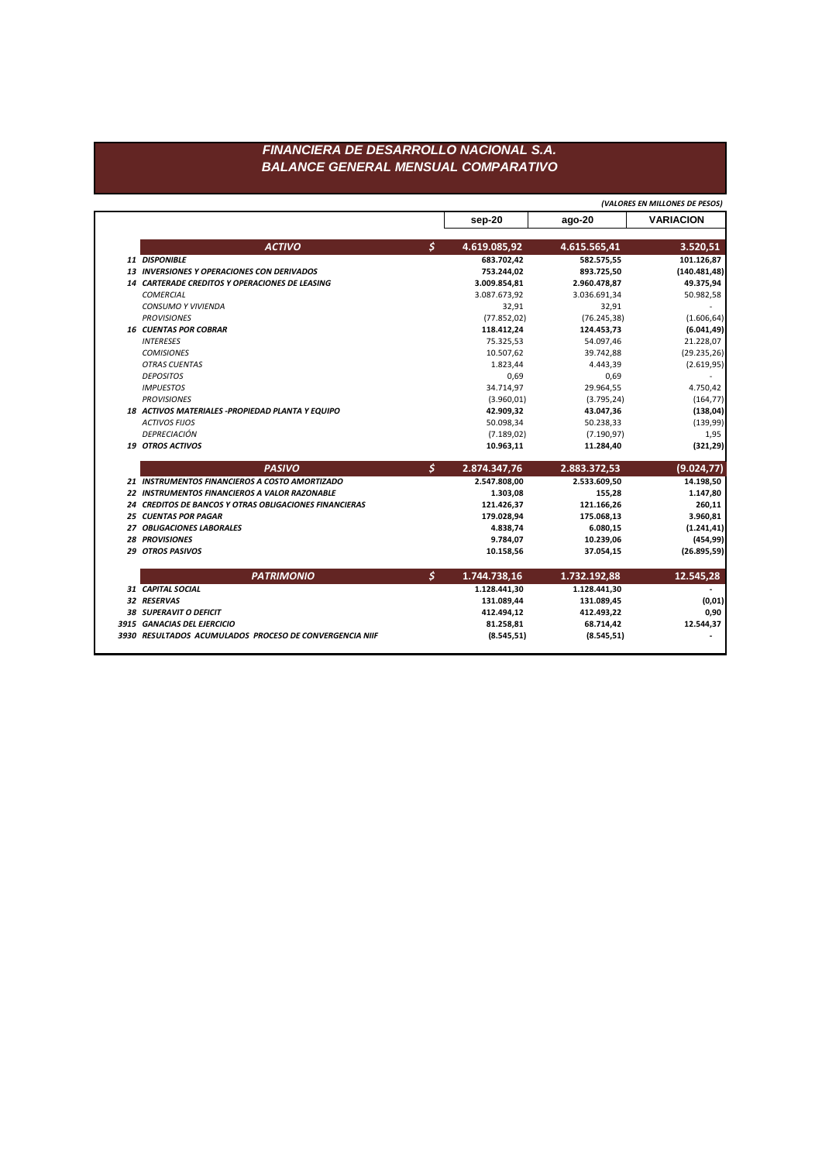## FINANCIERA DE DESARROLLO NACIONAL S.A. **BALANCE GENERAL MENSUAL COMPARATIVO**

|    |                                                        |              | (VALORES EN MILLONES DE PESOS) |                  |  |
|----|--------------------------------------------------------|--------------|--------------------------------|------------------|--|
|    |                                                        | sep-20       | $aqo-20$                       | <b>VARIACION</b> |  |
|    | \$<br><b>ACTIVO</b>                                    | 4.619.085,92 | 4.615.565,41                   | 3.520,51         |  |
|    | 11 DISPONIBLE                                          | 683.702,42   | 582.575,55                     | 101.126,87       |  |
|    | <b>13 INVERSIONES Y OPERACIONES CON DERIVADOS</b>      | 753.244,02   | 893.725,50                     | (140.481, 48)    |  |
|    | 14 CARTERADE CREDITOS Y OPERACIONES DE LEASING         | 3.009.854,81 | 2.960.478,87                   | 49.375,94        |  |
|    | <b>COMERCIAL</b>                                       | 3.087.673,92 | 3.036.691,34                   | 50.982,58        |  |
|    | <b>CONSUMO Y VIVIENDA</b>                              | 32,91        | 32,91                          |                  |  |
|    | <b>PROVISIONES</b>                                     | (77.852, 02) | (76.245, 38)                   | (1.606, 64)      |  |
|    | <b>16 CUENTAS POR COBRAR</b>                           | 118.412,24   | 124.453,73                     | (6.041, 49)      |  |
|    | <b>INTERESES</b>                                       | 75.325,53    | 54.097,46                      | 21.228,07        |  |
|    | <b>COMISIONES</b>                                      | 10.507,62    | 39.742,88                      | (29.235, 26)     |  |
|    | <b>OTRAS CUENTAS</b>                                   | 1.823,44     | 4.443,39                       | (2.619, 95)      |  |
|    | <b>DEPOSITOS</b>                                       | 0.69         | 0.69                           |                  |  |
|    | <b>IMPUESTOS</b>                                       | 34.714,97    | 29.964,55                      | 4.750,42         |  |
|    | <b>PROVISIONES</b>                                     | (3.960, 01)  | (3.795, 24)                    | (164, 77)        |  |
|    | 18 ACTIVOS MATERIALES -PROPIEDAD PLANTA Y EQUIPO       | 42.909,32    | 43.047,36                      | (138, 04)        |  |
|    | <b>ACTIVOS FIJOS</b>                                   | 50.098,34    | 50.238,33                      | (139, 99)        |  |
|    | DEPRECIACIÓN                                           | (7.189, 02)  | (7.190, 97)                    | 1,95             |  |
|    | <b>19 OTROS ACTIVOS</b>                                | 10.963,11    | 11.284,40                      | (321, 29)        |  |
|    | \$<br><b>PASIVO</b>                                    | 2.874.347,76 | 2.883.372,53                   | (9.024, 77)      |  |
|    | 21 INSTRUMENTOS FINANCIEROS A COSTO AMORTIZADO         | 2.547.808,00 | 2.533.609,50                   | 14.198,50        |  |
|    | <b>22 INSTRUMENTOS FINANCIEROS A VALOR RAZONABLE</b>   | 1.303,08     | 155,28                         | 1.147,80         |  |
|    | 24 CREDITOS DE BANCOS Y OTRAS OBLIGACIONES FINANCIERAS | 121.426.37   | 121.166.26                     | 260,11           |  |
|    | <b>25 CUENTAS POR PAGAR</b>                            | 179.028,94   | 175.068,13                     | 3.960,81         |  |
|    | <b>27 OBLIGACIONES LABORALES</b>                       | 4.838,74     | 6.080,15                       | (1.241, 41)      |  |
| 28 | <b>PROVISIONES</b>                                     | 9.784,07     | 10.239,06                      | (454, 99)        |  |
|    | <b>29 OTROS PASIVOS</b>                                | 10.158,56    | 37.054,15                      | (26.895,59)      |  |
|    | \$<br><b>PATRIMONIO</b>                                | 1.744.738,16 | 1.732.192,88                   | 12.545,28        |  |
|    | 31 CAPITAL SOCIAL                                      | 1.128.441,30 | 1.128.441,30                   |                  |  |
|    | 32 RESERVAS                                            | 131.089,44   | 131.089,45                     | (0,01)           |  |
|    | <b>38 SUPERAVIT O DEFICIT</b>                          | 412.494,12   | 412.493,22                     | 0,90             |  |
|    |                                                        | 81.258,81    | 68.714,42                      | 12.544,37        |  |
|    | 3915 GANACIAS DEL EJERCICIO                            |              |                                |                  |  |